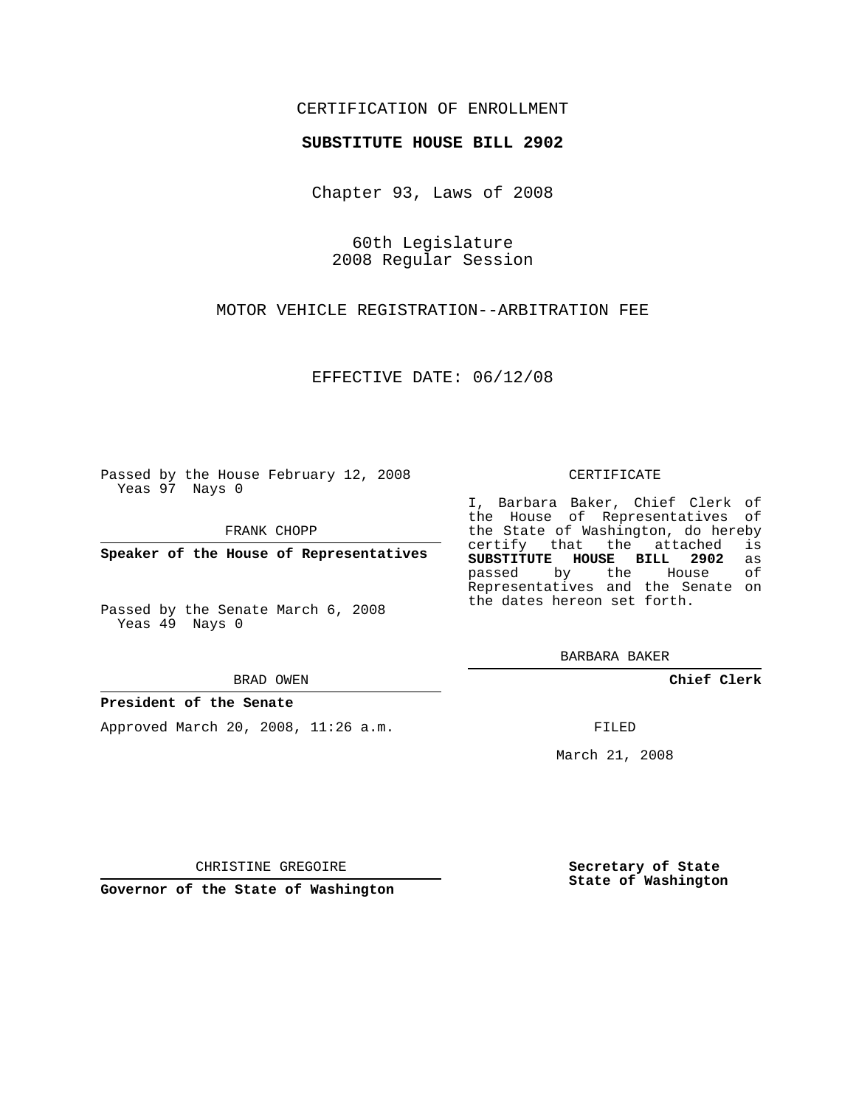# CERTIFICATION OF ENROLLMENT

## **SUBSTITUTE HOUSE BILL 2902**

Chapter 93, Laws of 2008

60th Legislature 2008 Regular Session

MOTOR VEHICLE REGISTRATION--ARBITRATION FEE

EFFECTIVE DATE: 06/12/08

Passed by the House February 12, 2008 Yeas 97 Nays 0

FRANK CHOPP

**Speaker of the House of Representatives**

Passed by the Senate March 6, 2008 Yeas 49 Nays 0

#### BRAD OWEN

### **President of the Senate**

Approved March 20, 2008, 11:26 a.m.

#### CERTIFICATE

I, Barbara Baker, Chief Clerk of the House of Representatives of the State of Washington, do hereby<br>certify that the attached is certify that the attached **SUBSTITUTE HOUSE BILL 2902** as passed by the House Representatives and the Senate on the dates hereon set forth.

BARBARA BAKER

**Chief Clerk**

FILED

March 21, 2008

CHRISTINE GREGOIRE

**Governor of the State of Washington**

**Secretary of State State of Washington**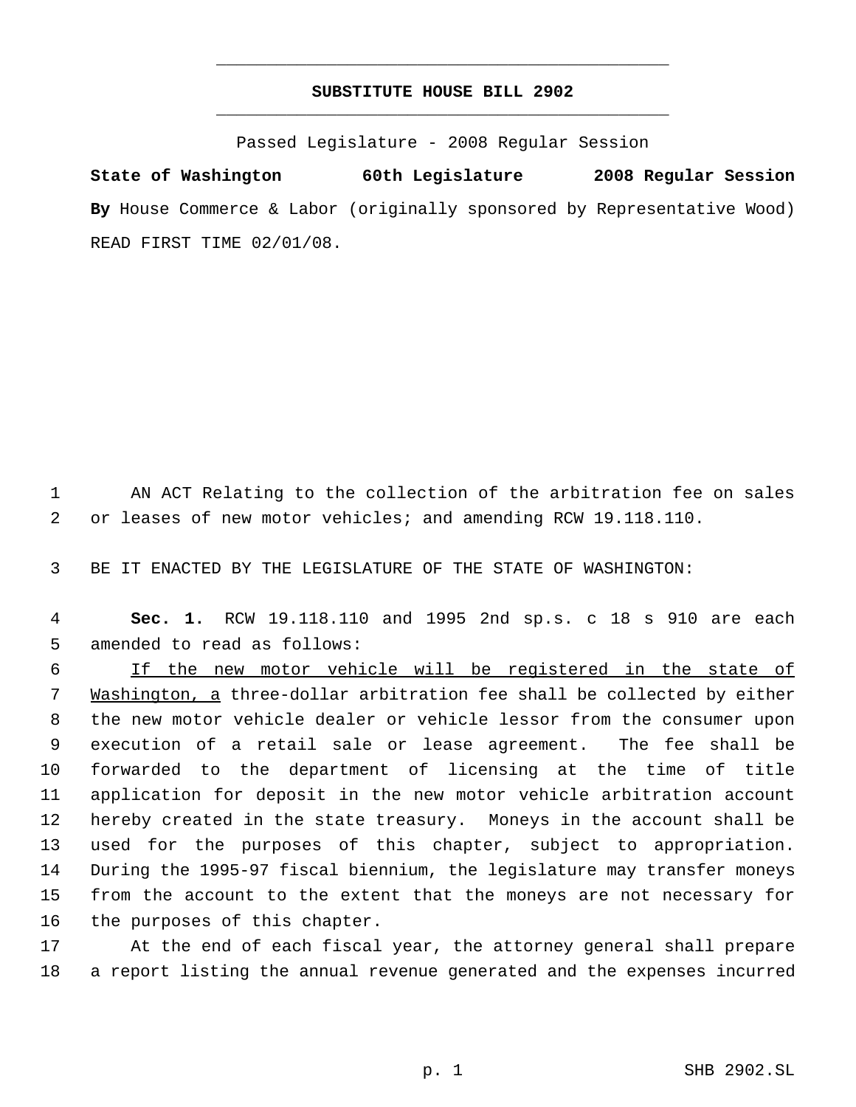# **SUBSTITUTE HOUSE BILL 2902** \_\_\_\_\_\_\_\_\_\_\_\_\_\_\_\_\_\_\_\_\_\_\_\_\_\_\_\_\_\_\_\_\_\_\_\_\_\_\_\_\_\_\_\_\_

\_\_\_\_\_\_\_\_\_\_\_\_\_\_\_\_\_\_\_\_\_\_\_\_\_\_\_\_\_\_\_\_\_\_\_\_\_\_\_\_\_\_\_\_\_

Passed Legislature - 2008 Regular Session

**State of Washington 60th Legislature 2008 Regular Session By** House Commerce & Labor (originally sponsored by Representative Wood) READ FIRST TIME 02/01/08.

 AN ACT Relating to the collection of the arbitration fee on sales or leases of new motor vehicles; and amending RCW 19.118.110.

BE IT ENACTED BY THE LEGISLATURE OF THE STATE OF WASHINGTON:

 **Sec. 1.** RCW 19.118.110 and 1995 2nd sp.s. c 18 s 910 are each amended to read as follows:

 If the new motor vehicle will be registered in the state of Washington, a three-dollar arbitration fee shall be collected by either the new motor vehicle dealer or vehicle lessor from the consumer upon execution of a retail sale or lease agreement. The fee shall be forwarded to the department of licensing at the time of title application for deposit in the new motor vehicle arbitration account hereby created in the state treasury. Moneys in the account shall be used for the purposes of this chapter, subject to appropriation. During the 1995-97 fiscal biennium, the legislature may transfer moneys from the account to the extent that the moneys are not necessary for the purposes of this chapter.

 At the end of each fiscal year, the attorney general shall prepare a report listing the annual revenue generated and the expenses incurred